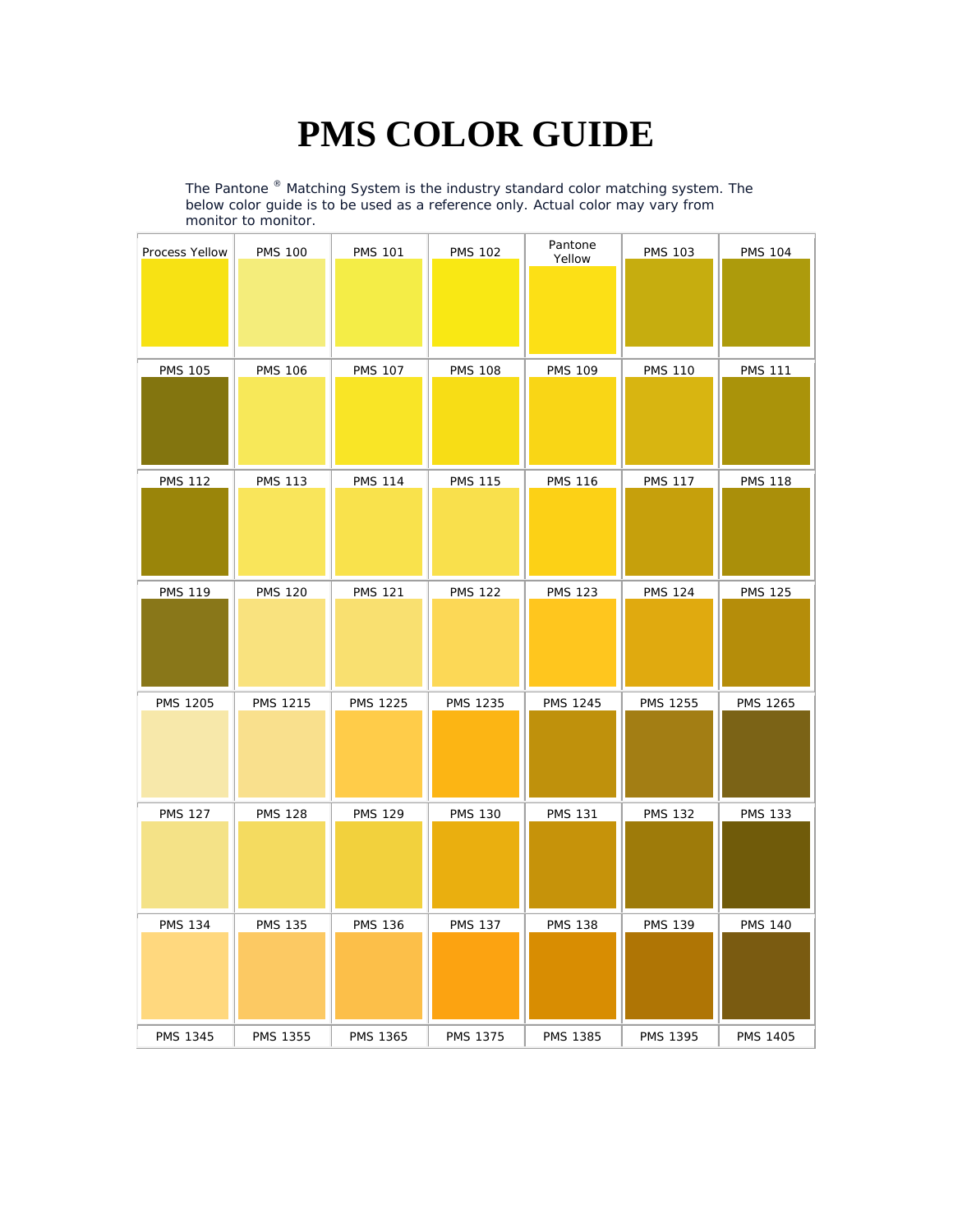## **PMS COLOR GUIDE**

The Pantone  $^{\circledast}$  Matching System is the industry standard color matching system. The below color guide is to be used as a reference only. Actual color may vary from monitor to monitor.

| Process Yellow  | <b>PMS 100</b>  | <b>PMS 101</b>  | <b>PMS 102</b>  | Pantone<br>Yellow | <b>PMS 103</b>  | <b>PMS 104</b>  |
|-----------------|-----------------|-----------------|-----------------|-------------------|-----------------|-----------------|
| <b>PMS 105</b>  | <b>PMS 106</b>  | <b>PMS 107</b>  | <b>PMS 108</b>  | <b>PMS 109</b>    | <b>PMS 110</b>  | <b>PMS 111</b>  |
| <b>PMS 112</b>  | <b>PMS 113</b>  | <b>PMS 114</b>  | <b>PMS 115</b>  | <b>PMS 116</b>    | <b>PMS 117</b>  | <b>PMS 118</b>  |
| <b>PMS 119</b>  | <b>PMS 120</b>  | <b>PMS 121</b>  | <b>PMS 122</b>  | <b>PMS 123</b>    | <b>PMS 124</b>  | <b>PMS 125</b>  |
| <b>PMS 1205</b> | <b>PMS 1215</b> | <b>PMS 1225</b> | PMS 1235        | <b>PMS 1245</b>   | <b>PMS 1255</b> | PMS 1265        |
| <b>PMS 127</b>  | <b>PMS 128</b>  | <b>PMS 129</b>  | <b>PMS 130</b>  | <b>PMS 131</b>    | <b>PMS 132</b>  | <b>PMS 133</b>  |
| <b>PMS 134</b>  | <b>PMS 135</b>  | <b>PMS 136</b>  | <b>PMS 137</b>  | <b>PMS 138</b>    | <b>PMS 139</b>  | <b>PMS 140</b>  |
| <b>PMS 1345</b> | <b>PMS 1355</b> | <b>PMS 1365</b> | <b>PMS 1375</b> | <b>PMS 1385</b>   | <b>PMS 1395</b> | <b>PMS 1405</b> |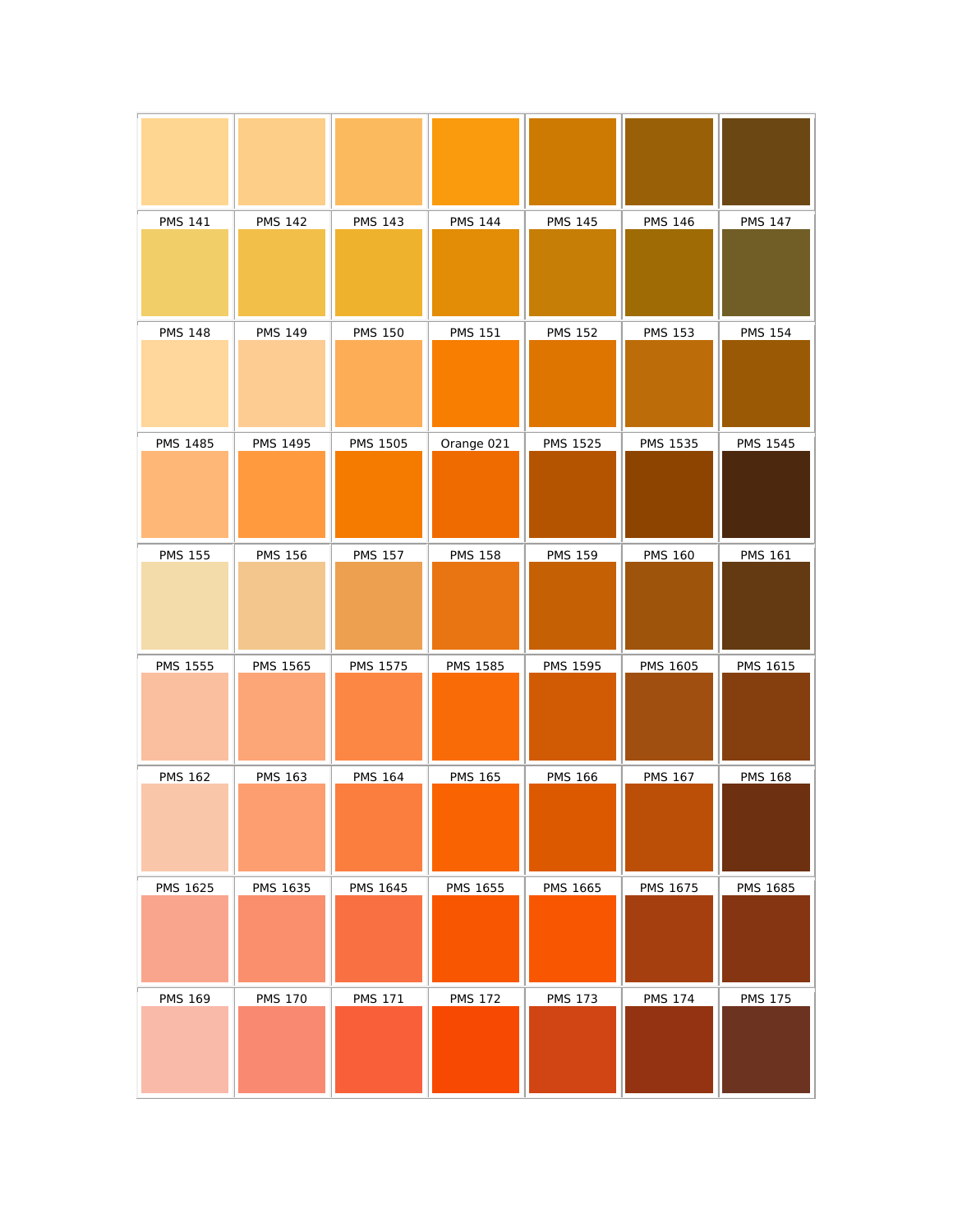| <b>PMS 141</b>  | <b>PMS 142</b>  | <b>PMS 143</b>  | <b>PMS 144</b>  | <b>PMS 145</b>  | <b>PMS 146</b>  | <b>PMS 147</b>  |
|-----------------|-----------------|-----------------|-----------------|-----------------|-----------------|-----------------|
| <b>PMS 148</b>  | <b>PMS 149</b>  | <b>PMS 150</b>  | <b>PMS 151</b>  | <b>PMS 152</b>  | <b>PMS 153</b>  | <b>PMS 154</b>  |
| <b>PMS 1485</b> | <b>PMS 1495</b> | <b>PMS 1505</b> | Orange 021      | <b>PMS 1525</b> | <b>PMS 1535</b> | <b>PMS 1545</b> |
| <b>PMS 155</b>  | <b>PMS 156</b>  | <b>PMS 157</b>  | <b>PMS 158</b>  | <b>PMS 159</b>  | <b>PMS 160</b>  | <b>PMS 161</b>  |
| <b>PMS 1555</b> | PMS 1565        | <b>PMS 1575</b> | <b>PMS 1585</b> | <b>PMS 1595</b> | <b>PMS 1605</b> | <b>PMS 1615</b> |
| <b>PMS 162</b>  | <b>PMS 163</b>  | <b>PMS 164</b>  | <b>PMS 165</b>  | <b>PMS 166</b>  | <b>PMS 167</b>  | <b>PMS 168</b>  |
| <b>PMS 1625</b> | PMS 1635        | <b>PMS 1645</b> | PMS 1655        | <b>PMS 1665</b> | <b>PMS 1675</b> | <b>PMS 1685</b> |
| <b>PMS 169</b>  | <b>PMS 170</b>  | <b>PMS 171</b>  | <b>PMS 172</b>  | <b>PMS 173</b>  | <b>PMS 174</b>  | <b>PMS 175</b>  |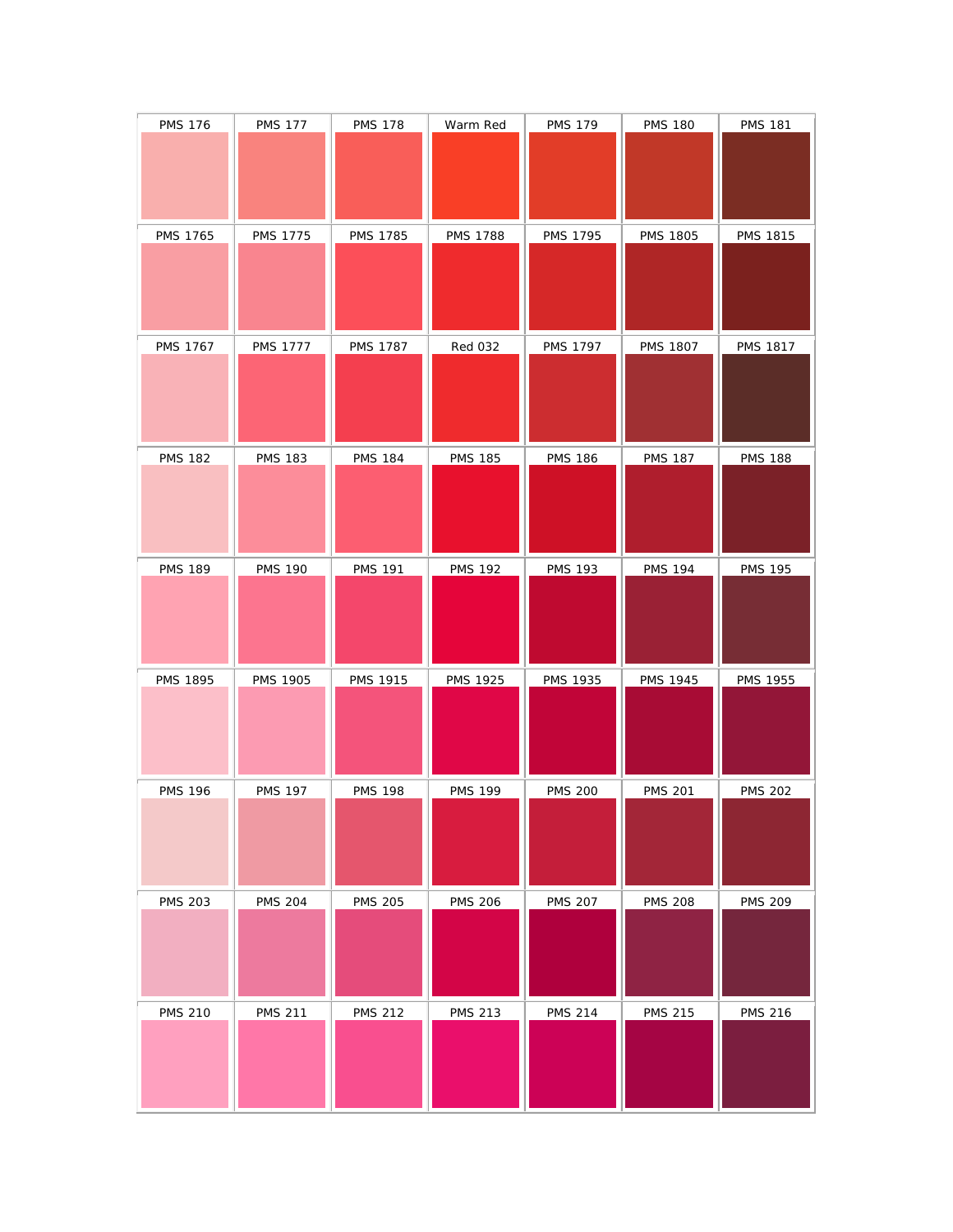| <b>PMS 176</b>  | <b>PMS 177</b>  | <b>PMS 178</b>  | Warm Red        | <b>PMS 179</b>  | <b>PMS 180</b>  | <b>PMS 181</b>  |
|-----------------|-----------------|-----------------|-----------------|-----------------|-----------------|-----------------|
|                 |                 |                 |                 |                 |                 |                 |
|                 |                 |                 |                 |                 |                 |                 |
| PMS 1765        | <b>PMS 1775</b> | <b>PMS 1785</b> | <b>PMS 1788</b> | <b>PMS 1795</b> | <b>PMS 1805</b> | <b>PMS 1815</b> |
|                 |                 |                 |                 |                 |                 |                 |
|                 |                 |                 |                 |                 |                 |                 |
| <b>PMS 1767</b> | <b>PMS 1777</b> | <b>PMS 1787</b> | <b>Red 032</b>  | <b>PMS 1797</b> | <b>PMS 1807</b> | <b>PMS 1817</b> |
|                 |                 |                 |                 |                 |                 |                 |
|                 |                 |                 |                 |                 |                 |                 |
| <b>PMS 182</b>  | <b>PMS 183</b>  | <b>PMS 184</b>  | <b>PMS 185</b>  | <b>PMS 186</b>  | <b>PMS 187</b>  | <b>PMS 188</b>  |
|                 |                 |                 |                 |                 |                 |                 |
|                 |                 |                 |                 |                 |                 |                 |
| <b>PMS 189</b>  | <b>PMS 190</b>  | <b>PMS 191</b>  | <b>PMS 192</b>  | <b>PMS 193</b>  | <b>PMS 194</b>  | <b>PMS 195</b>  |
|                 |                 |                 |                 |                 |                 |                 |
|                 |                 |                 |                 |                 |                 |                 |
| <b>PMS 1895</b> | <b>PMS 1905</b> | <b>PMS 1915</b> | <b>PMS 1925</b> | <b>PMS 1935</b> | <b>PMS 1945</b> | <b>PMS 1955</b> |
|                 |                 |                 |                 |                 |                 |                 |
| <b>PMS 196</b>  | <b>PMS 197</b>  | <b>PMS 198</b>  | <b>PMS 199</b>  | <b>PMS 200</b>  | <b>PMS 201</b>  | <b>PMS 202</b>  |
|                 |                 |                 |                 |                 |                 |                 |
|                 |                 |                 |                 |                 |                 |                 |
| <b>PMS 203</b>  | <b>PMS 204</b>  | <b>PMS 205</b>  | <b>PMS 206</b>  | <b>PMS 207</b>  | <b>PMS 208</b>  | <b>PMS 209</b>  |
|                 |                 |                 |                 |                 |                 |                 |
|                 |                 |                 |                 |                 |                 |                 |
| <b>PMS 210</b>  | <b>PMS 211</b>  | <b>PMS 212</b>  |                 | <b>PMS 214</b>  | <b>PMS 215</b>  | <b>PMS 216</b>  |
|                 |                 |                 | <b>PMS 213</b>  |                 |                 |                 |
|                 |                 |                 |                 |                 |                 |                 |
|                 |                 |                 |                 |                 |                 |                 |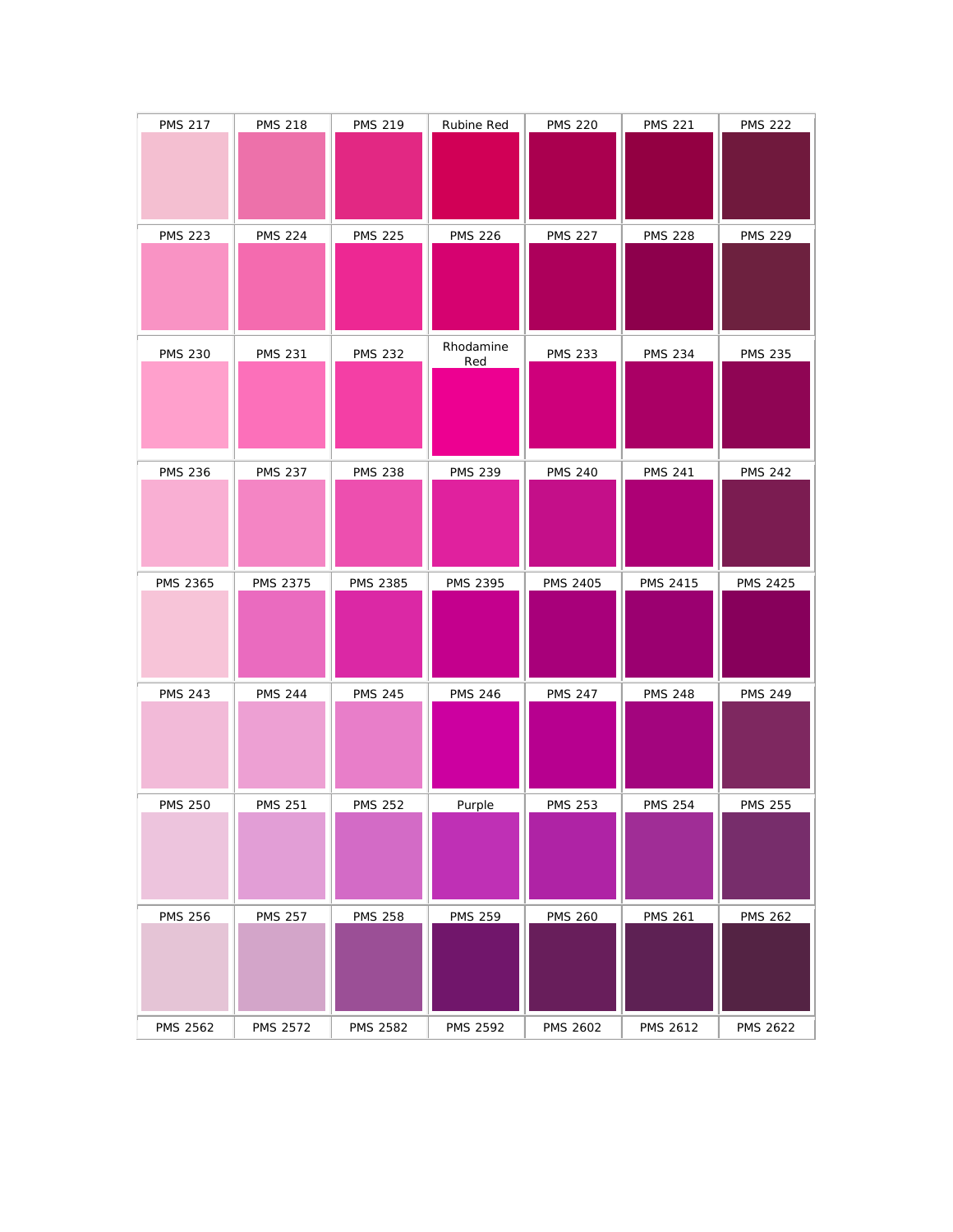| <b>PMS 217</b> | <b>PMS 218</b> | <b>PMS 219</b>  | Rubine Red       | <b>PMS 220</b>  | <b>PMS 221</b>  | <b>PMS 222</b>  |
|----------------|----------------|-----------------|------------------|-----------------|-----------------|-----------------|
|                |                |                 |                  |                 |                 |                 |
|                |                |                 |                  |                 |                 |                 |
| <b>PMS 223</b> | <b>PMS 224</b> | <b>PMS 225</b>  | <b>PMS 226</b>   | <b>PMS 227</b>  | <b>PMS 228</b>  | <b>PMS 229</b>  |
|                |                |                 |                  |                 |                 |                 |
|                |                |                 |                  |                 |                 |                 |
|                |                |                 |                  |                 |                 |                 |
| <b>PMS 230</b> | <b>PMS 231</b> | <b>PMS 232</b>  | Rhodamine<br>Red | <b>PMS 233</b>  | <b>PMS 234</b>  | <b>PMS 235</b>  |
|                |                |                 |                  |                 |                 |                 |
|                |                |                 |                  |                 |                 |                 |
|                |                |                 |                  |                 |                 |                 |
| <b>PMS 236</b> | <b>PMS 237</b> | <b>PMS 238</b>  | <b>PMS 239</b>   | <b>PMS 240</b>  | <b>PMS 241</b>  | <b>PMS 242</b>  |
|                |                |                 |                  |                 |                 |                 |
|                |                |                 |                  |                 |                 |                 |
|                |                |                 |                  |                 |                 |                 |
| PMS 2365       | PMS 2375       | <b>PMS 2385</b> | PMS 2395         | <b>PMS 2405</b> |                 |                 |
|                |                |                 |                  |                 | <b>PMS 2415</b> | <b>PMS 2425</b> |
|                |                |                 |                  |                 |                 |                 |
|                |                |                 |                  |                 |                 |                 |
| <b>PMS 243</b> | <b>PMS 244</b> | <b>PMS 245</b>  | <b>PMS 246</b>   | <b>PMS 247</b>  | <b>PMS 248</b>  | <b>PMS 249</b>  |
|                |                |                 |                  |                 |                 |                 |
|                |                |                 |                  |                 |                 |                 |
| <b>PMS 250</b> | <b>PMS 251</b> | <b>PMS 252</b>  | Purple           | <b>PMS 253</b>  | <b>PMS 254</b>  | <b>PMS 255</b>  |
|                |                |                 |                  |                 |                 |                 |
|                |                |                 |                  |                 |                 |                 |
|                |                |                 |                  |                 |                 |                 |
| <b>PMS 256</b> | <b>PMS 257</b> | <b>PMS 258</b>  | <b>PMS 259</b>   | <b>PMS 260</b>  | <b>PMS 261</b>  | <b>PMS 262</b>  |
|                |                |                 |                  |                 |                 |                 |
|                |                |                 |                  |                 |                 |                 |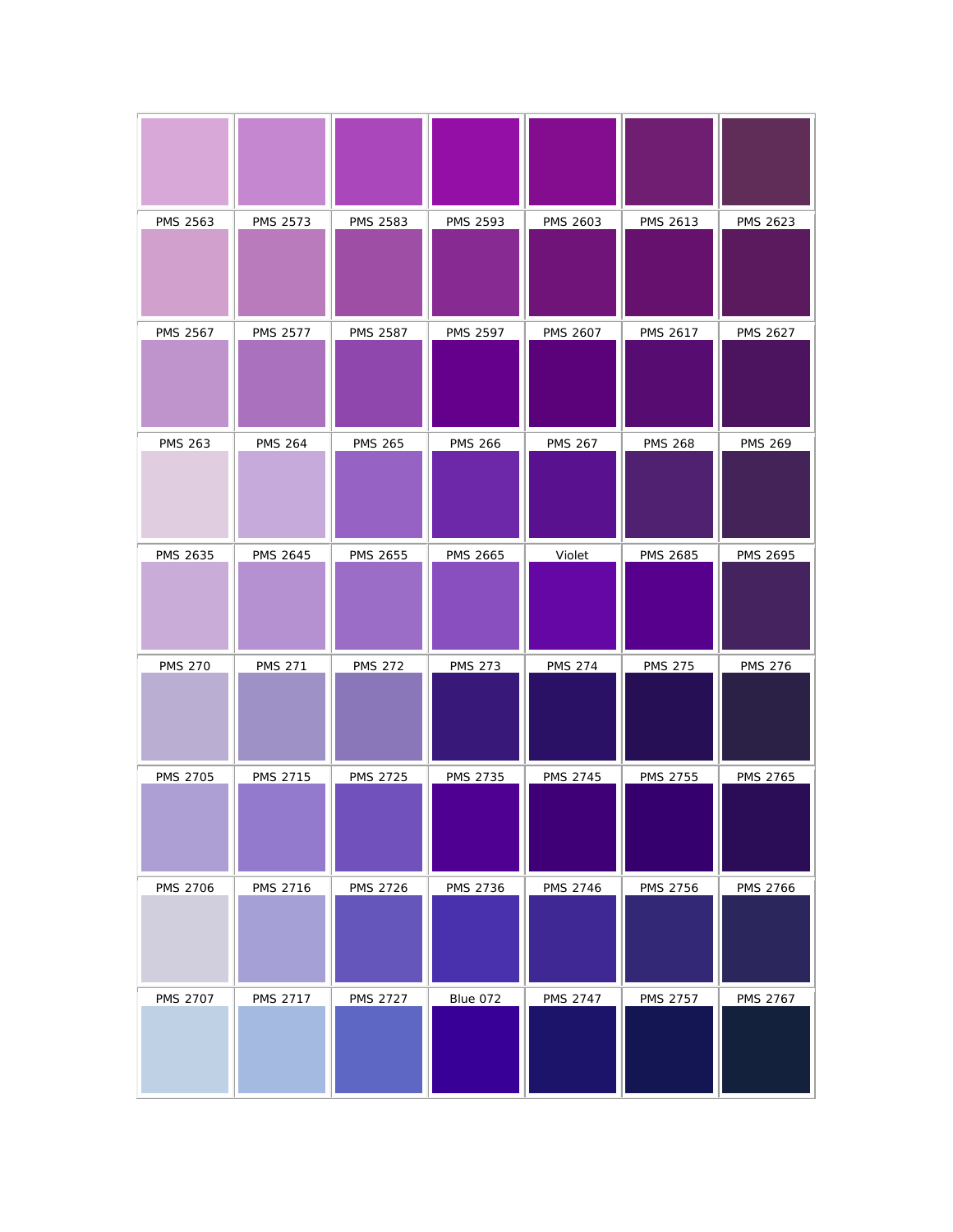| PMS 2563        | PMS 2573        | PMS 2583        | PMS 2593        | <b>PMS 2603</b> | PMS 2613        | PMS 2623        |
|-----------------|-----------------|-----------------|-----------------|-----------------|-----------------|-----------------|
| <b>PMS 2567</b> | <b>PMS 2577</b> | <b>PMS 2587</b> | <b>PMS 2597</b> | PMS 2607        | <b>PMS 2617</b> | <b>PMS 2627</b> |
| <b>PMS 263</b>  | <b>PMS 264</b>  | <b>PMS 265</b>  | <b>PMS 266</b>  | <b>PMS 267</b>  | <b>PMS 268</b>  | <b>PMS 269</b>  |
| PMS 2635        | <b>PMS 2645</b> | PMS 2655        | PMS 2665        | Violet          | <b>PMS 2685</b> | PMS 2695        |
| <b>PMS 270</b>  | <b>PMS 271</b>  | <b>PMS 272</b>  | <b>PMS 273</b>  | <b>PMS 274</b>  | <b>PMS 275</b>  | <b>PMS 276</b>  |
| <b>PMS 2705</b> | <b>PMS 2715</b> | <b>PMS 2725</b> | <b>PMS 2735</b> | <b>PMS 2745</b> | <b>PMS 2755</b> | <b>PMS 2765</b> |
| <b>PMS 2706</b> | PMS 2716        | <b>PMS 2726</b> | <b>PMS 2736</b> | <b>PMS 2746</b> | <b>PMS 2756</b> | <b>PMS 2766</b> |
| <b>PMS 2707</b> | <b>PMS 2717</b> | <b>PMS 2727</b> | Blue 072        | <b>PMS 2747</b> | <b>PMS 2757</b> | <b>PMS 2767</b> |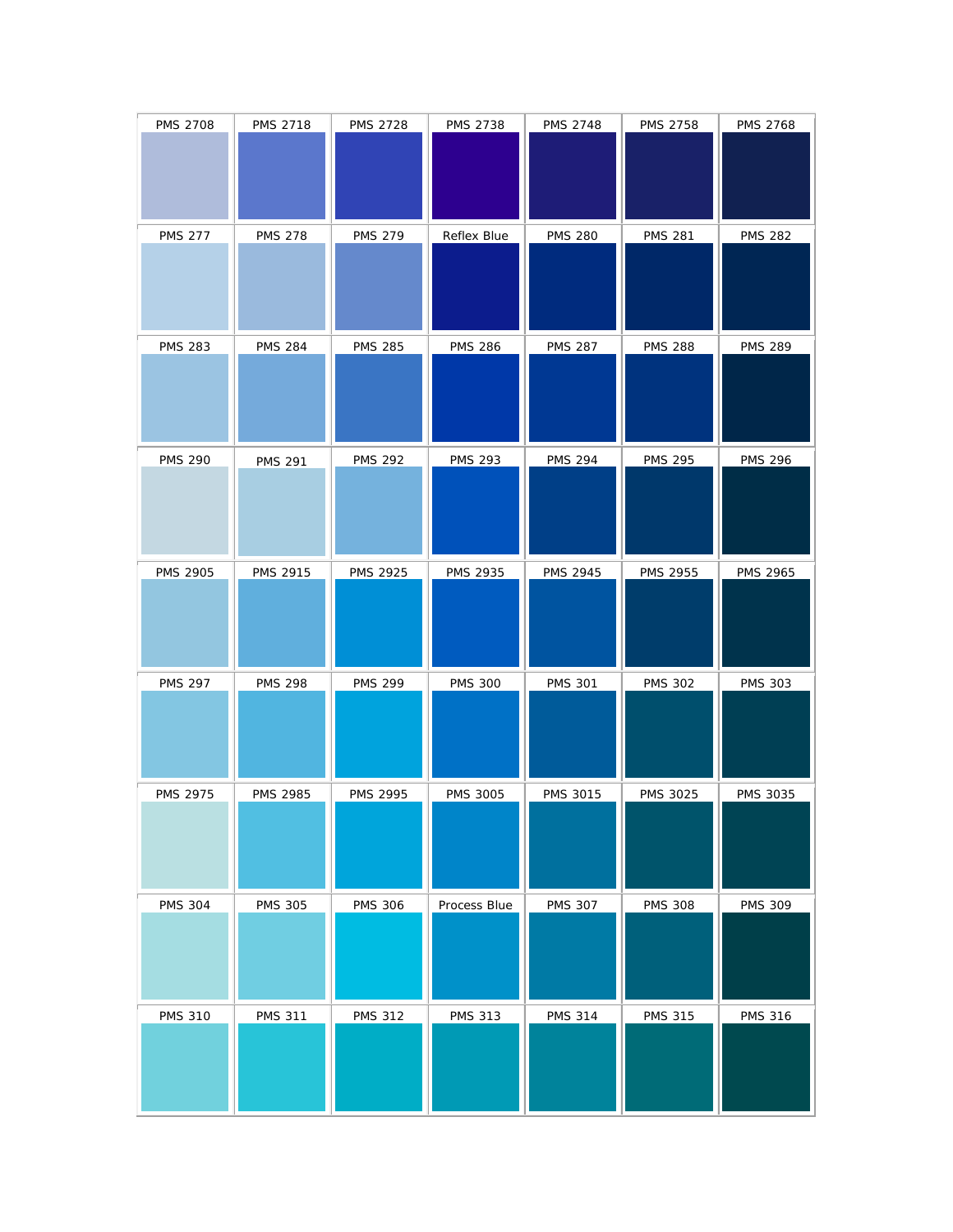| <b>PMS 2708</b> | <b>PMS 2718</b> | <b>PMS 2728</b> | <b>PMS 2738</b> | PMS 2748        | <b>PMS 2758</b> | <b>PMS 2768</b> |
|-----------------|-----------------|-----------------|-----------------|-----------------|-----------------|-----------------|
| <b>PMS 277</b>  | <b>PMS 278</b>  | <b>PMS 279</b>  | Reflex Blue     | <b>PMS 280</b>  | <b>PMS 281</b>  | <b>PMS 282</b>  |
| <b>PMS 283</b>  | <b>PMS 284</b>  | <b>PMS 285</b>  | <b>PMS 286</b>  | <b>PMS 287</b>  | <b>PMS 288</b>  | <b>PMS 289</b>  |
| <b>PMS 290</b>  | <b>PMS 291</b>  | <b>PMS 292</b>  | <b>PMS 293</b>  | <b>PMS 294</b>  | <b>PMS 295</b>  | <b>PMS 296</b>  |
| <b>PMS 2905</b> | PMS 2915        | PMS 2925        | PMS 2935        | PMS 2945        | PMS 2955        | PMS 2965        |
| <b>PMS 297</b>  | <b>PMS 298</b>  | <b>PMS 299</b>  | <b>PMS 300</b>  | <b>PMS 301</b>  | <b>PMS 302</b>  | <b>PMS 303</b>  |
| <b>PMS 2975</b> | <b>PMS 2985</b> | <b>PMS 2995</b> | <b>PMS 3005</b> | <b>PMS 3015</b> | <b>PMS 3025</b> | <b>PMS 3035</b> |
| <b>PMS 304</b>  | <b>PMS 305</b>  | <b>PMS 306</b>  | Process Blue    | <b>PMS 307</b>  | <b>PMS 308</b>  | <b>PMS 309</b>  |
| <b>PMS 310</b>  | <b>PMS 311</b>  | <b>PMS 312</b>  | <b>PMS 313</b>  | <b>PMS 314</b>  | <b>PMS 315</b>  | <b>PMS 316</b>  |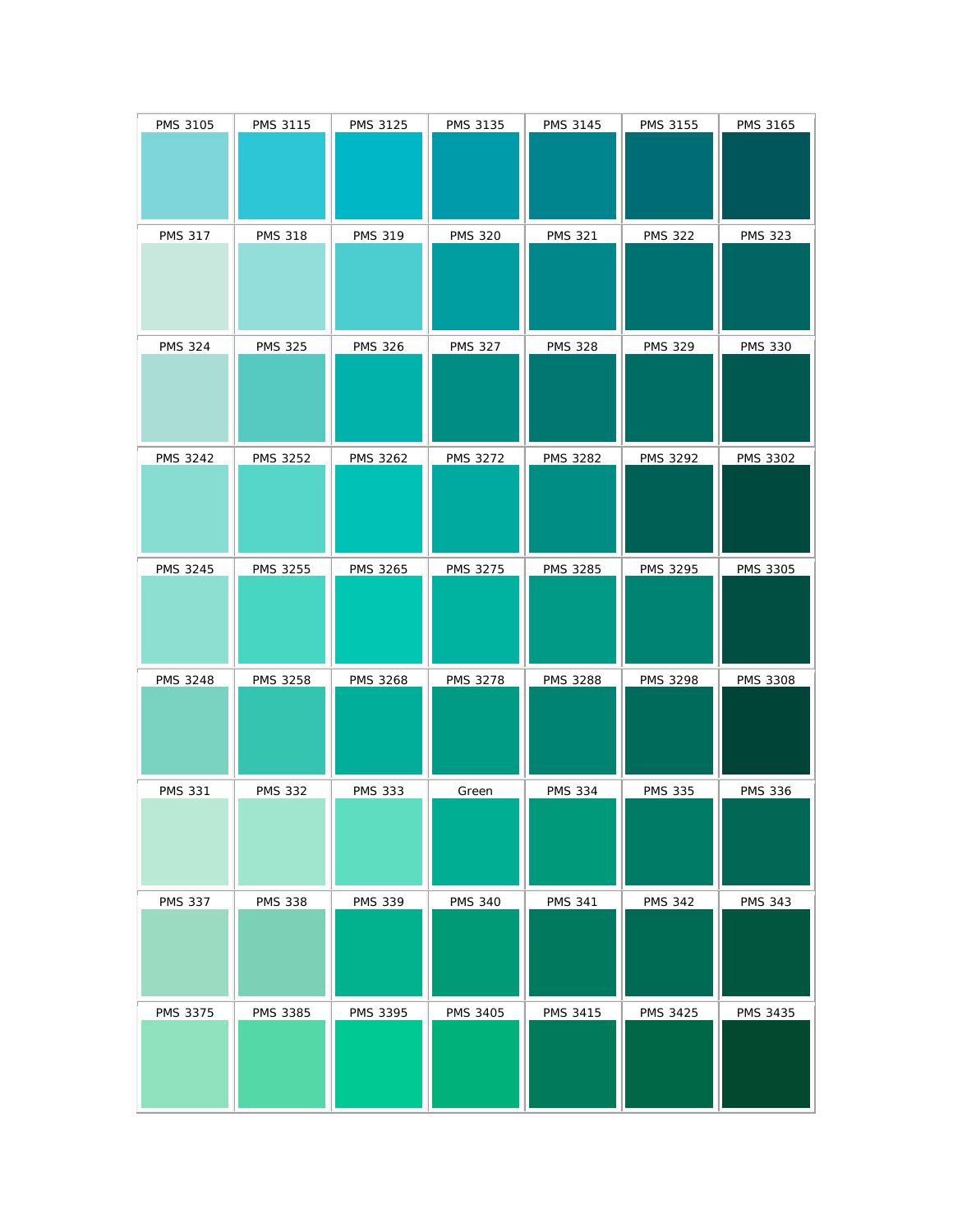| PMS 3105        | <b>PMS 3115</b> | <b>PMS 3125</b> | PMS 3135        | <b>PMS 3145</b> | <b>PMS 3155</b> | PMS 3165        |
|-----------------|-----------------|-----------------|-----------------|-----------------|-----------------|-----------------|
| <b>PMS 317</b>  | <b>PMS 318</b>  | <b>PMS 319</b>  | <b>PMS 320</b>  | <b>PMS 321</b>  | <b>PMS 322</b>  | <b>PMS 323</b>  |
| <b>PMS 324</b>  | <b>PMS 325</b>  | <b>PMS 326</b>  | <b>PMS 327</b>  | <b>PMS 328</b>  | <b>PMS 329</b>  | <b>PMS 330</b>  |
| <b>PMS 3242</b> | <b>PMS 3252</b> | <b>PMS 3262</b> | <b>PMS 3272</b> | <b>PMS 3282</b> | <b>PMS 3292</b> | <b>PMS 3302</b> |
| <b>PMS 3245</b> | <b>PMS 3255</b> | <b>PMS 3265</b> | <b>PMS 3275</b> | <b>PMS 3285</b> | <b>PMS 3295</b> | <b>PMS 3305</b> |
| <b>PMS 3248</b> | <b>PMS 3258</b> | <b>PMS 3268</b> | <b>PMS 3278</b> | <b>PMS 3288</b> | <b>PMS 3298</b> | <b>PMS 3308</b> |
| <b>PMS 331</b>  | <b>PMS 332</b>  | <b>PMS 333</b>  | Green           | <b>PMS 334</b>  | <b>PMS 335</b>  | <b>PMS 336</b>  |
| <b>PMS 337</b>  | <b>PMS 338</b>  | <b>PMS 339</b>  | <b>PMS 340</b>  | <b>PMS 341</b>  | <b>PMS 342</b>  | <b>PMS 343</b>  |
| PMS 3375        | PMS 3385        | PMS 3395        | PMS 3405        | <b>PMS 3415</b> | <b>PMS 3425</b> | PMS 3435        |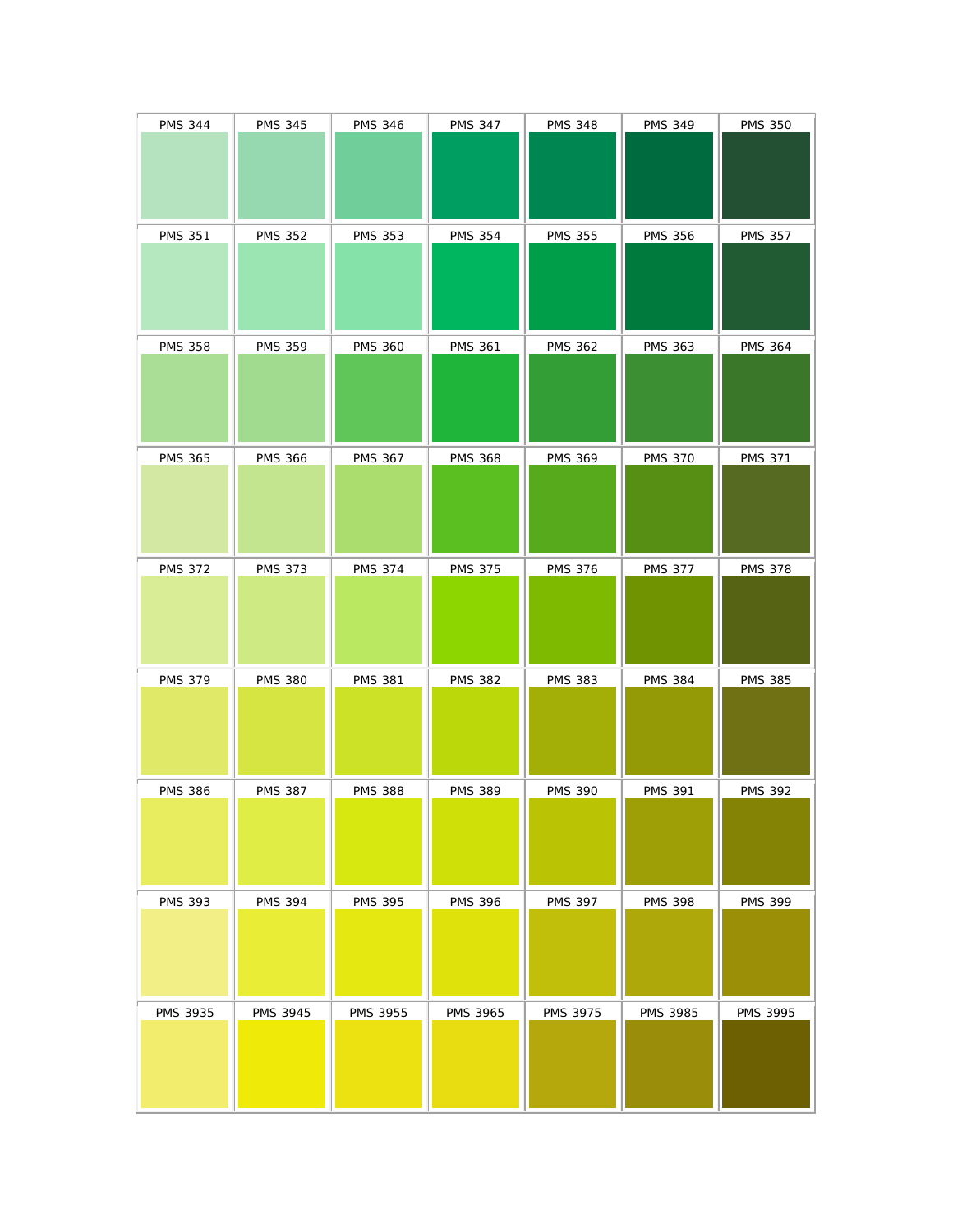| <b>PMS 344</b> | <b>PMS 345</b> | <b>PMS 346</b> | <b>PMS 347</b> | <b>PMS 348</b> | <b>PMS 349</b>  | <b>PMS 350</b> |
|----------------|----------------|----------------|----------------|----------------|-----------------|----------------|
| <b>PMS 351</b> | <b>PMS 352</b> | <b>PMS 353</b> | <b>PMS 354</b> | <b>PMS 355</b> | <b>PMS 356</b>  | <b>PMS 357</b> |
| <b>PMS 358</b> | <b>PMS 359</b> | <b>PMS 360</b> | <b>PMS 361</b> | <b>PMS 362</b> | <b>PMS 363</b>  | <b>PMS 364</b> |
| <b>PMS 365</b> | <b>PMS 366</b> | <b>PMS 367</b> | <b>PMS 368</b> | <b>PMS 369</b> | <b>PMS 370</b>  | <b>PMS 371</b> |
| <b>PMS 372</b> | <b>PMS 373</b> | <b>PMS 374</b> | <b>PMS 375</b> | <b>PMS 376</b> | <b>PMS 377</b>  | <b>PMS 378</b> |
| <b>PMS 379</b> | <b>PMS 380</b> | <b>PMS 381</b> | <b>PMS 382</b> | <b>PMS 383</b> | <b>PMS 384</b>  | <b>PMS 385</b> |
| <b>PMS 386</b> | <b>PMS 387</b> | <b>PMS 388</b> | <b>PMS 389</b> | <b>PMS 390</b> | <b>PMS 391</b>  | <b>PMS 392</b> |
| <b>PMS 393</b> | <b>PMS 394</b> | <b>PMS 395</b> | <b>PMS 396</b> | <b>PMS 397</b> | <b>PMS 398</b>  | <b>PMS 399</b> |
| PMS 3935       | PMS 3945       | PMS 3955       | PMS 3965       | PMS 3975       | <b>PMS 3985</b> | PMS 3995       |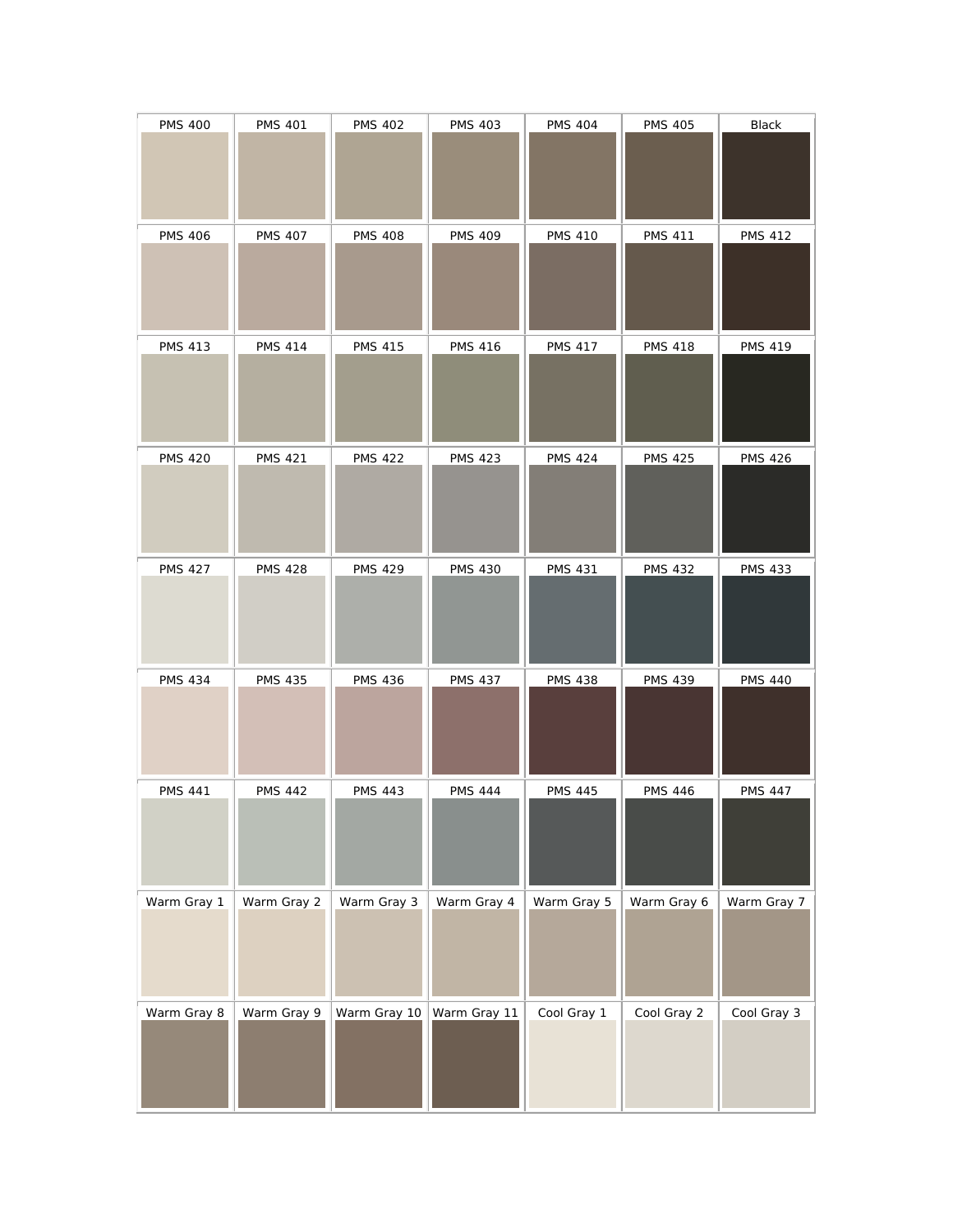| <b>PMS 400</b> | <b>PMS 401</b> | <b>PMS 402</b> | <b>PMS 403</b> | <b>PMS 404</b> | <b>PMS 405</b> | Black          |
|----------------|----------------|----------------|----------------|----------------|----------------|----------------|
| <b>PMS 406</b> | <b>PMS 407</b> | <b>PMS 408</b> | <b>PMS 409</b> | <b>PMS 410</b> | <b>PMS 411</b> | <b>PMS 412</b> |
| <b>PMS 413</b> | <b>PMS 414</b> | <b>PMS 415</b> | <b>PMS 416</b> | <b>PMS 417</b> | <b>PMS 418</b> | <b>PMS 419</b> |
| <b>PMS 420</b> | <b>PMS 421</b> | <b>PMS 422</b> | <b>PMS 423</b> | <b>PMS 424</b> | <b>PMS 425</b> | <b>PMS 426</b> |
| <b>PMS 427</b> | <b>PMS 428</b> | <b>PMS 429</b> | <b>PMS 430</b> | <b>PMS 431</b> | <b>PMS 432</b> | <b>PMS 433</b> |
| <b>PMS 434</b> | <b>PMS 435</b> | <b>PMS 436</b> | <b>PMS 437</b> | <b>PMS 438</b> | <b>PMS 439</b> | <b>PMS 440</b> |
| <b>PMS 441</b> | <b>PMS 442</b> | <b>PMS 443</b> | <b>PMS 444</b> | <b>PMS 445</b> | <b>PMS 446</b> | <b>PMS 447</b> |
| Warm Gray 1    | Warm Gray 2    | Warm Gray 3    | Warm Gray 4    | Warm Gray 5    | Warm Gray 6    | Warm Gray 7    |
| Warm Gray 8    | Warm Gray 9    | Warm Gray 10   | Warm Gray 11   | Cool Gray 1    | Cool Gray 2    | Cool Gray 3    |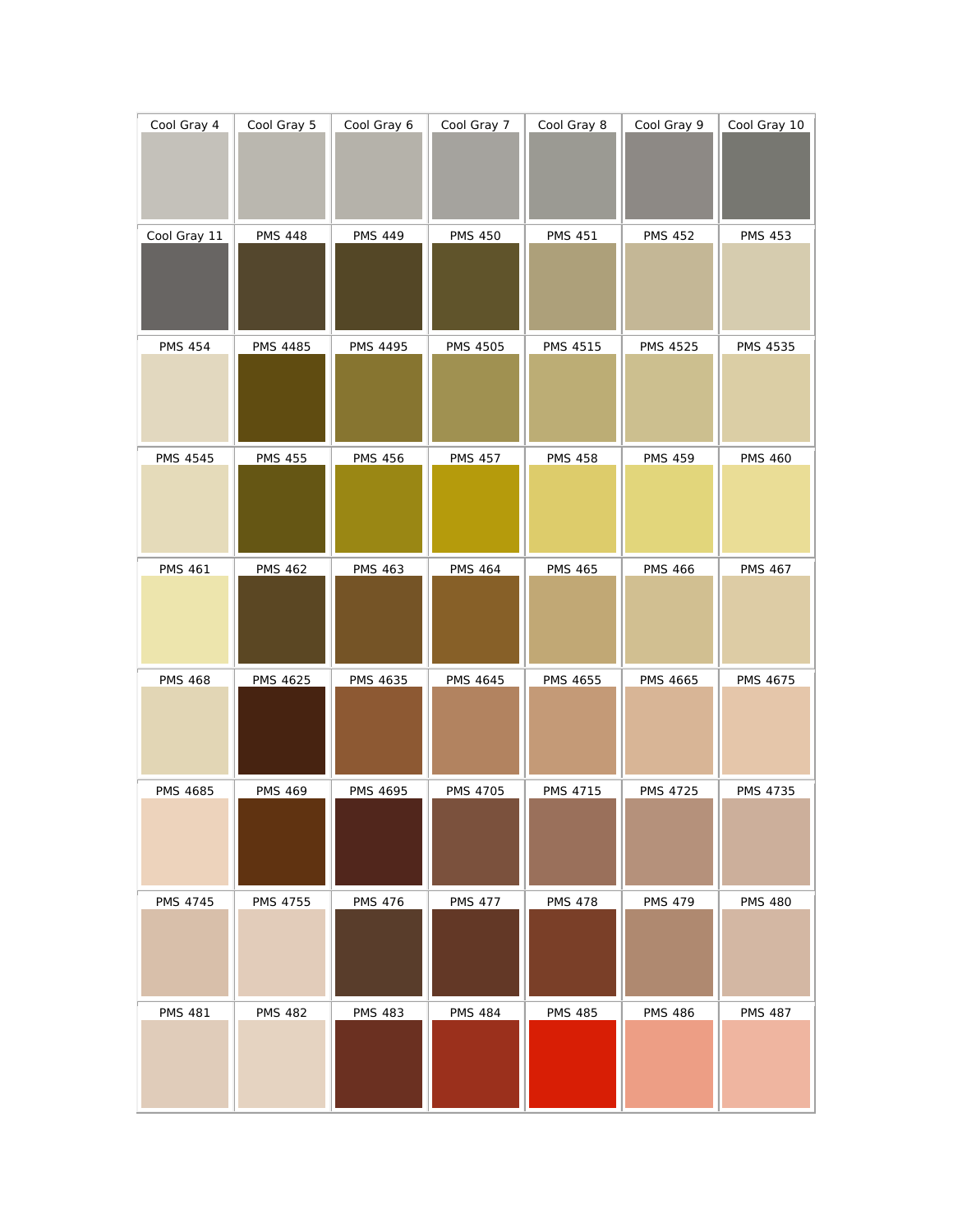| Cool Gray 4     | Cool Gray 5     | Cool Gray 6     | Cool Gray 7     | Cool Gray 8     | Cool Gray 9     | Cool Gray 10    |
|-----------------|-----------------|-----------------|-----------------|-----------------|-----------------|-----------------|
| Cool Gray 11    | <b>PMS 448</b>  | <b>PMS 449</b>  | <b>PMS 450</b>  | <b>PMS 451</b>  | <b>PMS 452</b>  | <b>PMS 453</b>  |
| <b>PMS 454</b>  | <b>PMS 4485</b> | <b>PMS 4495</b> | <b>PMS 4505</b> | <b>PMS 4515</b> | <b>PMS 4525</b> | <b>PMS 4535</b> |
| <b>PMS 4545</b> | <b>PMS 455</b>  | <b>PMS 456</b>  | <b>PMS 457</b>  | <b>PMS 458</b>  | <b>PMS 459</b>  | <b>PMS 460</b>  |
| <b>PMS 461</b>  | <b>PMS 462</b>  | <b>PMS 463</b>  | <b>PMS 464</b>  | <b>PMS 465</b>  | <b>PMS 466</b>  | <b>PMS 467</b>  |
| <b>PMS 468</b>  | <b>PMS 4625</b> | <b>PMS 4635</b> | <b>PMS 4645</b> | <b>PMS 4655</b> | <b>PMS 4665</b> | <b>PMS 4675</b> |
| <b>PMS 4685</b> | <b>PMS 469</b>  | <b>PMS 4695</b> | <b>PMS 4705</b> | PMS 4715        | <b>PMS 4725</b> | PMS 4735        |
| <b>PMS 4745</b> | PMS 4755        | <b>PMS 476</b>  | <b>PMS 477</b>  | <b>PMS 478</b>  | <b>PMS 479</b>  | <b>PMS 480</b>  |
| <b>PMS 481</b>  | <b>PMS 482</b>  | <b>PMS 483</b>  | <b>PMS 484</b>  | <b>PMS 485</b>  | <b>PMS 486</b>  | <b>PMS 487</b>  |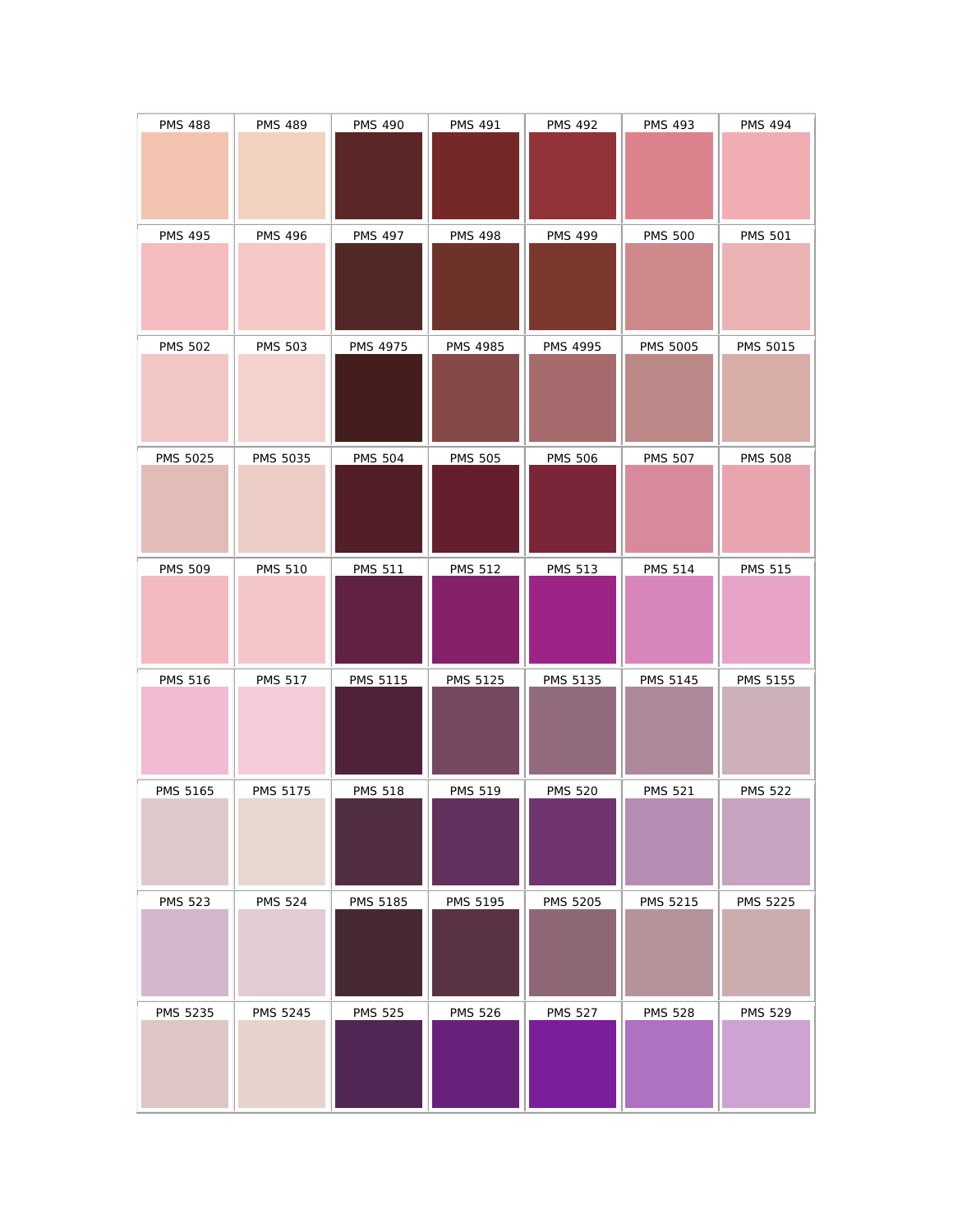| <b>PMS 488</b>  | <b>PMS 489</b>  | <b>PMS 490</b>  | <b>PMS 491</b>  | <b>PMS 492</b>  | <b>PMS 493</b>  | <b>PMS 494</b>  |
|-----------------|-----------------|-----------------|-----------------|-----------------|-----------------|-----------------|
| <b>PMS 495</b>  | <b>PMS 496</b>  | <b>PMS 497</b>  | <b>PMS 498</b>  | <b>PMS 499</b>  | <b>PMS 500</b>  | <b>PMS 501</b>  |
| <b>PMS 502</b>  | <b>PMS 503</b>  | <b>PMS 4975</b> | <b>PMS 4985</b> | <b>PMS 4995</b> | <b>PMS 5005</b> | <b>PMS 5015</b> |
| <b>PMS 5025</b> | PMS 5035        | <b>PMS 504</b>  | <b>PMS 505</b>  | <b>PMS 506</b>  | <b>PMS 507</b>  | <b>PMS 508</b>  |
| <b>PMS 509</b>  | <b>PMS 510</b>  | <b>PMS 511</b>  | <b>PMS 512</b>  | <b>PMS 513</b>  | <b>PMS 514</b>  | <b>PMS 515</b>  |
| <b>PMS 516</b>  | <b>PMS 517</b>  | <b>PMS 5115</b> | <b>PMS 5125</b> | <b>PMS 5135</b> | <b>PMS 5145</b> | PMS 5155        |
| PMS 5165        | PMS 5175        | <b>PMS 518</b>  | <b>PMS 519</b>  | <b>PMS 520</b>  | <b>PMS 521</b>  | <b>PMS 522</b>  |
| <b>PMS 523</b>  | <b>PMS 524</b>  | PMS 5185        | PMS 5195        | <b>PMS 5205</b> | PMS 5215        | <b>PMS 5225</b> |
| PMS 5235        | <b>PMS 5245</b> | <b>PMS 525</b>  | <b>PMS 526</b>  | <b>PMS 527</b>  | <b>PMS 528</b>  | <b>PMS 529</b>  |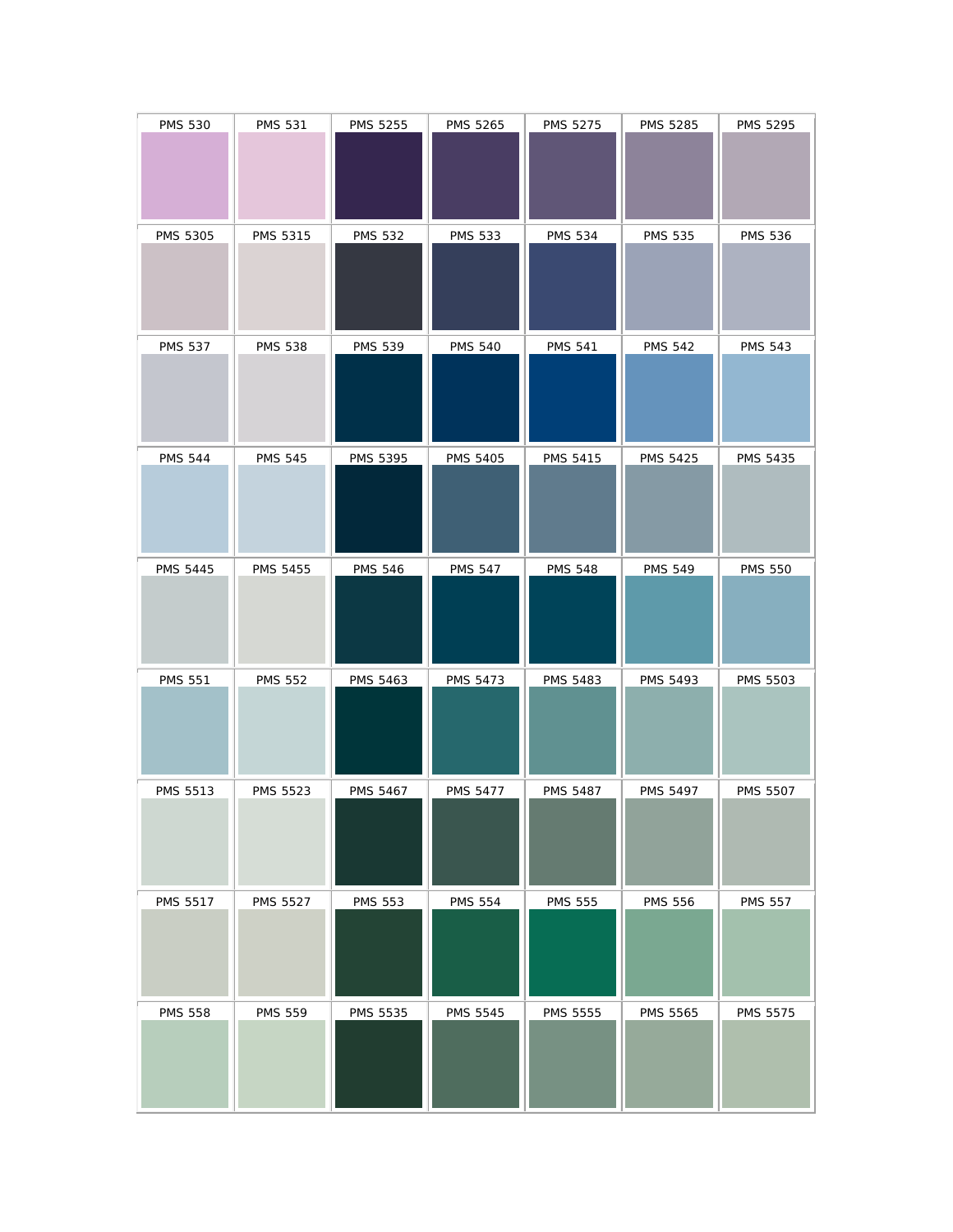| <b>PMS 530</b>  | <b>PMS 531</b>  | <b>PMS 5255</b> | PMS 5265        | PMS 5275        | PMS 5285        | PMS 5295        |
|-----------------|-----------------|-----------------|-----------------|-----------------|-----------------|-----------------|
| PMS 5305        | PMS 5315        | <b>PMS 532</b>  | <b>PMS 533</b>  | <b>PMS 534</b>  | <b>PMS 535</b>  | <b>PMS 536</b>  |
| <b>PMS 537</b>  | <b>PMS 538</b>  | <b>PMS 539</b>  | <b>PMS 540</b>  | <b>PMS 541</b>  | <b>PMS 542</b>  | <b>PMS 543</b>  |
| <b>PMS 544</b>  | <b>PMS 545</b>  | <b>PMS 5395</b> | <b>PMS 5405</b> | <b>PMS 5415</b> | <b>PMS 5425</b> | <b>PMS 5435</b> |
| <b>PMS 5445</b> | <b>PMS 5455</b> | <b>PMS 546</b>  | <b>PMS 547</b>  | <b>PMS 548</b>  | <b>PMS 549</b>  | <b>PMS 550</b>  |
| <b>PMS 551</b>  | <b>PMS 552</b>  | <b>PMS 5463</b> | <b>PMS 5473</b> | <b>PMS 5483</b> | <b>PMS 5493</b> | <b>PMS 5503</b> |
| PMS 5513        | PMS 5523        | <b>PMS 5467</b> | <b>PMS 5477</b> | <b>PMS 5487</b> | <b>PMS 5497</b> | <b>PMS 5507</b> |
| PMS 5517        | <b>PMS 5527</b> | <b>PMS 553</b>  | <b>PMS 554</b>  | <b>PMS 555</b>  | <b>PMS 556</b>  | <b>PMS 557</b>  |
| <b>PMS 558</b>  | <b>PMS 559</b>  | PMS 5535        | <b>PMS 5545</b> | PMS 5555        | <b>PMS 5565</b> | <b>PMS 5575</b> |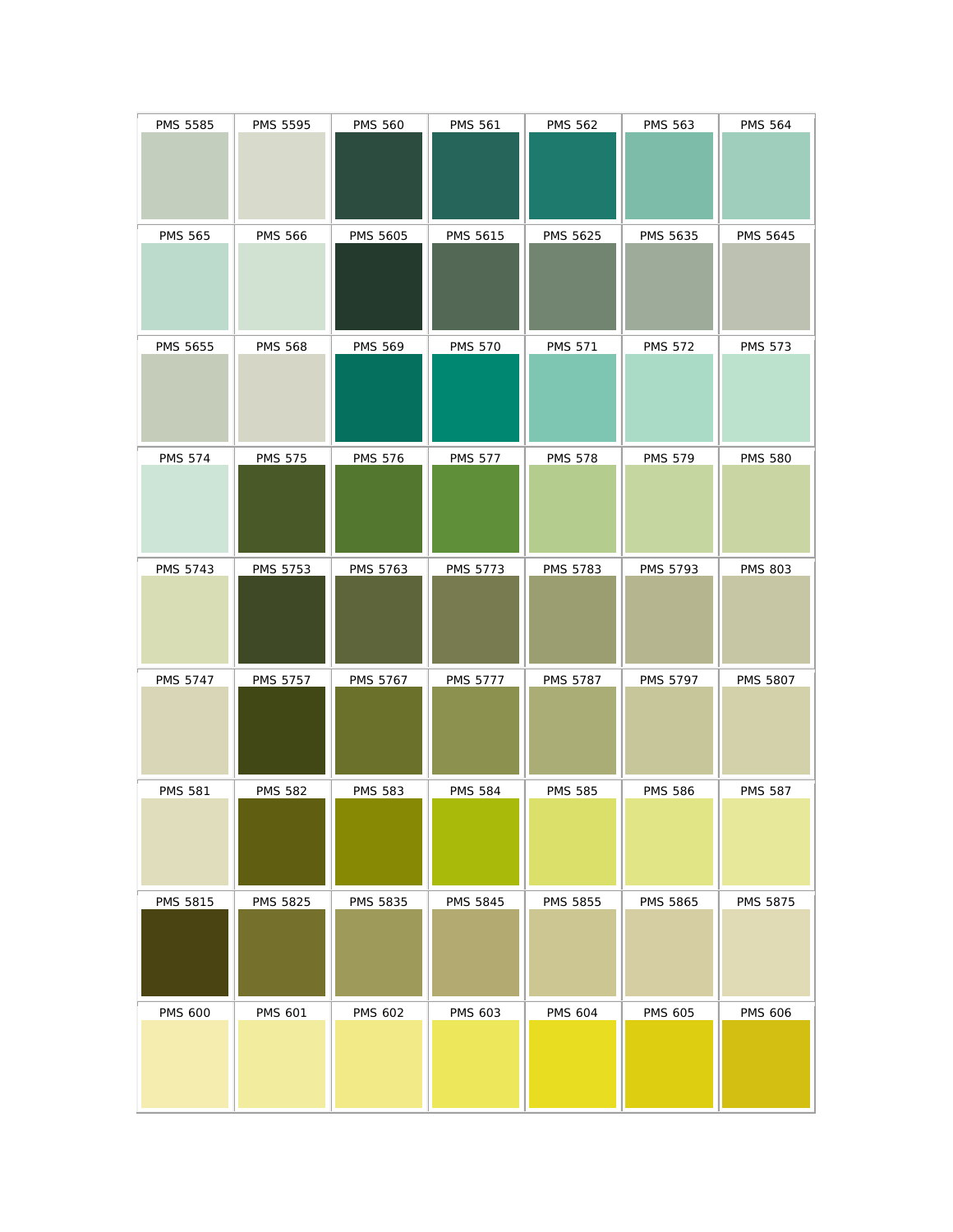| <b>PMS 5585</b> | PMS 5595        | <b>PMS 560</b>  | <b>PMS 561</b>  | <b>PMS 562</b>  | <b>PMS 563</b>  | <b>PMS 564</b>  |
|-----------------|-----------------|-----------------|-----------------|-----------------|-----------------|-----------------|
| <b>PMS 565</b>  | <b>PMS 566</b>  | <b>PMS 5605</b> | <b>PMS 5615</b> | PMS 5625        | PMS 5635        | PMS 5645        |
| PMS 5655        | <b>PMS 568</b>  | <b>PMS 569</b>  | <b>PMS 570</b>  | <b>PMS 571</b>  | <b>PMS 572</b>  | <b>PMS 573</b>  |
| <b>PMS 574</b>  | <b>PMS 575</b>  | <b>PMS 576</b>  | <b>PMS 577</b>  | <b>PMS 578</b>  | <b>PMS 579</b>  | <b>PMS 580</b>  |
| <b>PMS 5743</b> | PMS 5753        | PMS 5763        | PMS 5773        | <b>PMS 5783</b> | <b>PMS 5793</b> | <b>PMS 803</b>  |
| PMS 5747        | <b>PMS 5757</b> | <b>PMS 5767</b> | <b>PMS 5777</b> | <b>PMS 5787</b> | <b>PMS 5797</b> | <b>PMS 5807</b> |
| <b>PMS 581</b>  | <b>PMS 582</b>  | <b>PMS 583</b>  | <b>PMS 584</b>  | <b>PMS 585</b>  | <b>PMS 586</b>  | <b>PMS 587</b>  |
| <b>PMS 5815</b> | <b>PMS 5825</b> | PMS 5835        | <b>PMS 5845</b> | PMS 5855        | PMS 5865        | <b>PMS 5875</b> |
| <b>PMS 600</b>  | <b>PMS 601</b>  | <b>PMS 602</b>  | <b>PMS 603</b>  | <b>PMS 604</b>  | <b>PMS 605</b>  | <b>PMS 606</b>  |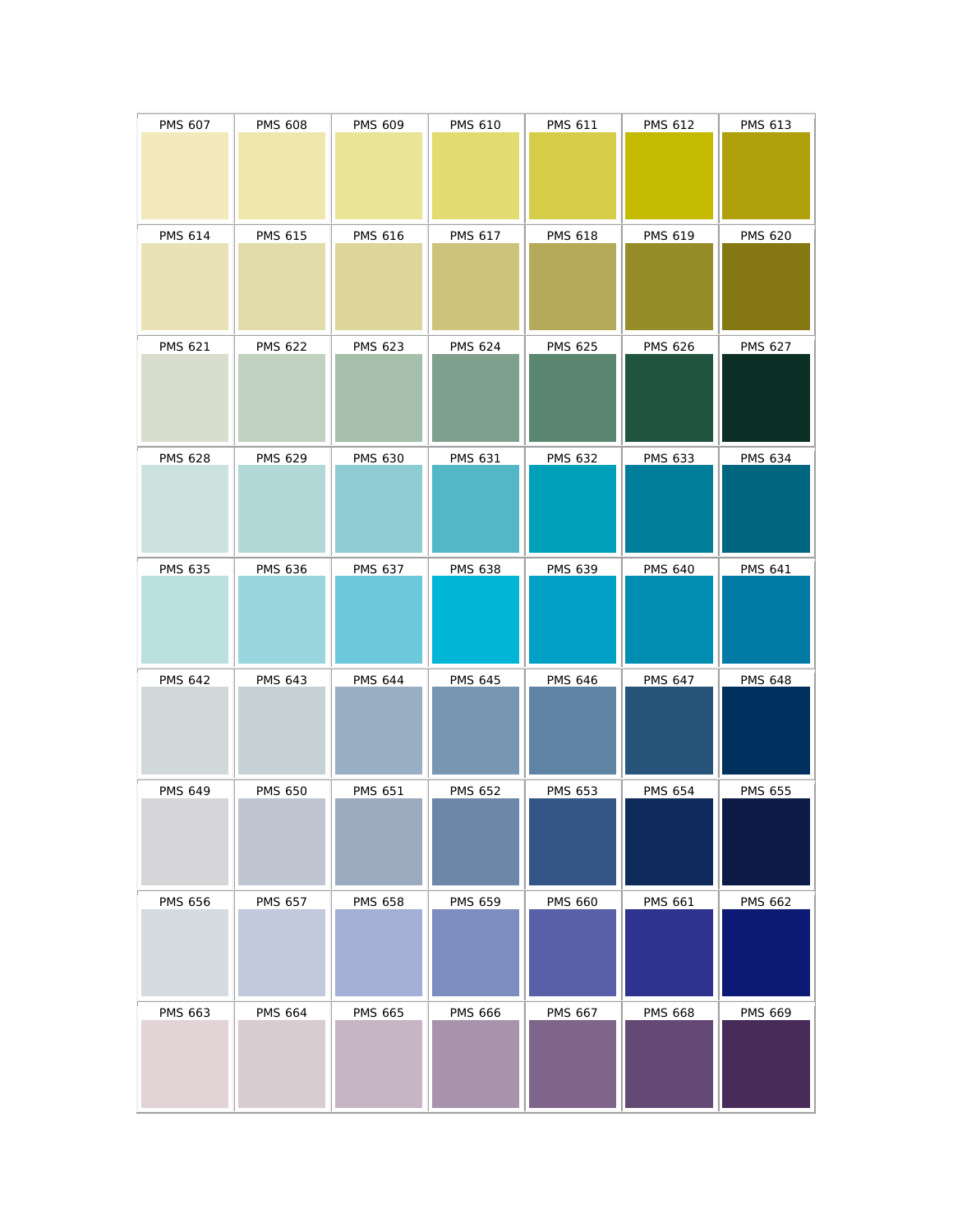| <b>PMS 607</b> | <b>PMS 608</b> | <b>PMS 609</b> | <b>PMS 610</b> | <b>PMS 611</b> | <b>PMS 612</b> | <b>PMS 613</b> |
|----------------|----------------|----------------|----------------|----------------|----------------|----------------|
| <b>PMS 614</b> | <b>PMS 615</b> | <b>PMS 616</b> | <b>PMS 617</b> | <b>PMS 618</b> | PMS 619        | <b>PMS 620</b> |
| <b>PMS 621</b> | <b>PMS 622</b> | <b>PMS 623</b> | <b>PMS 624</b> | <b>PMS 625</b> | <b>PMS 626</b> | <b>PMS 627</b> |
| <b>PMS 628</b> | <b>PMS 629</b> | <b>PMS 630</b> | <b>PMS 631</b> | <b>PMS 632</b> | <b>PMS 633</b> | <b>PMS 634</b> |
| <b>PMS 635</b> | <b>PMS 636</b> | <b>PMS 637</b> | <b>PMS 638</b> | PMS 639        | <b>PMS 640</b> | <b>PMS 641</b> |
| <b>PMS 642</b> | <b>PMS 643</b> | <b>PMS 644</b> | <b>PMS 645</b> | <b>PMS 646</b> | <b>PMS 647</b> | <b>PMS 648</b> |
| <b>PMS 649</b> | <b>PMS 650</b> | <b>PMS 651</b> | <b>PMS 652</b> | <b>PMS 653</b> | <b>PMS 654</b> | <b>PMS 655</b> |
| <b>PMS 656</b> | PMS 657        | <b>PMS 658</b> | <b>PMS 659</b> | <b>PMS 660</b> | <b>PMS 661</b> | <b>PMS 662</b> |
| <b>PMS 663</b> | <b>PMS 664</b> | <b>PMS 665</b> | <b>PMS 666</b> | <b>PMS 667</b> | <b>PMS 668</b> | PMS 669        |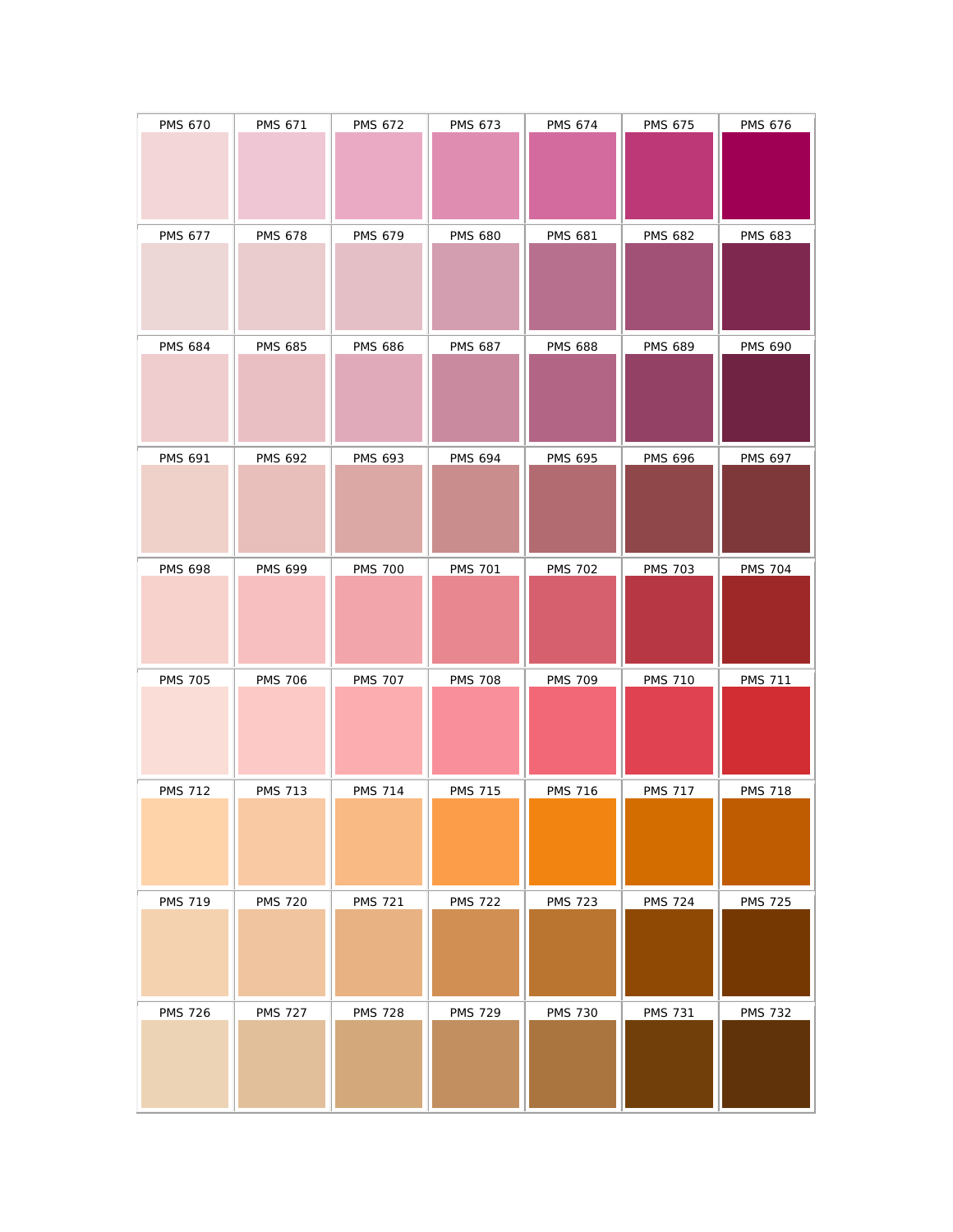| <b>PMS 670</b> | <b>PMS 671</b> | <b>PMS 672</b> | <b>PMS 673</b> | <b>PMS 674</b> | <b>PMS 675</b> | <b>PMS 676</b> |
|----------------|----------------|----------------|----------------|----------------|----------------|----------------|
| <b>PMS 677</b> | <b>PMS 678</b> | <b>PMS 679</b> | <b>PMS 680</b> | <b>PMS 681</b> | <b>PMS 682</b> | PMS 683        |
| <b>PMS 684</b> | <b>PMS 685</b> | <b>PMS 686</b> | <b>PMS 687</b> | <b>PMS 688</b> | <b>PMS 689</b> | <b>PMS 690</b> |
| <b>PMS 691</b> | <b>PMS 692</b> | <b>PMS 693</b> | <b>PMS 694</b> | <b>PMS 695</b> | <b>PMS 696</b> | <b>PMS 697</b> |
| <b>PMS 698</b> | <b>PMS 699</b> | <b>PMS 700</b> | <b>PMS 701</b> | <b>PMS 702</b> | <b>PMS 703</b> | <b>PMS 704</b> |
| <b>PMS 705</b> | <b>PMS 706</b> | <b>PMS 707</b> | <b>PMS 708</b> | <b>PMS 709</b> | <b>PMS 710</b> | <b>PMS 711</b> |
| <b>PMS 712</b> | <b>PMS 713</b> | <b>PMS 714</b> | <b>PMS 715</b> | <b>PMS 716</b> | <b>PMS 717</b> | <b>PMS 718</b> |
| <b>PMS 719</b> | <b>PMS 720</b> | <b>PMS 721</b> | <b>PMS 722</b> | <b>PMS 723</b> | <b>PMS 724</b> | <b>PMS 725</b> |
| <b>PMS 726</b> | <b>PMS 727</b> | <b>PMS 728</b> | <b>PMS 729</b> | <b>PMS 730</b> | <b>PMS 731</b> | <b>PMS 732</b> |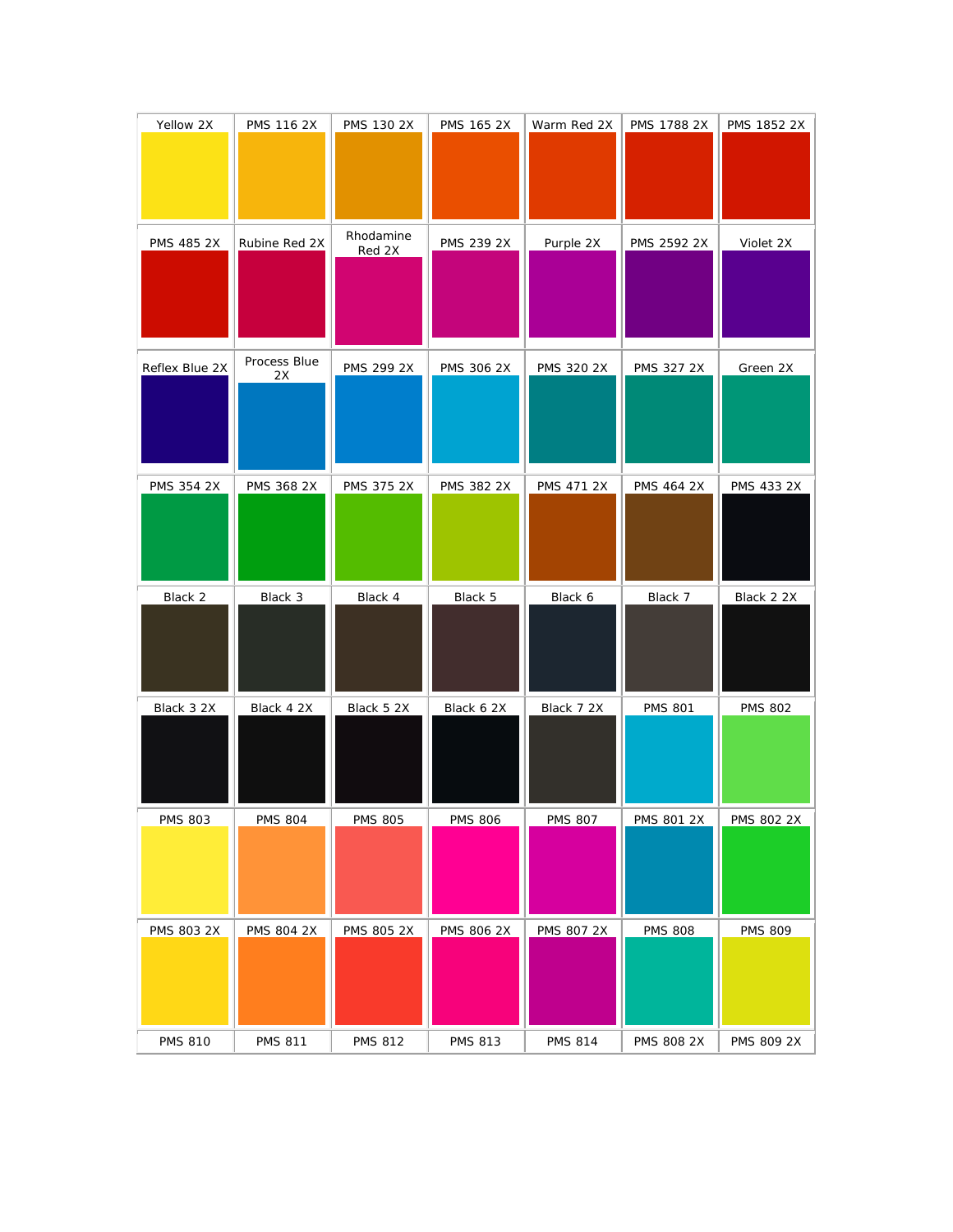| Yellow 2X      | PMS 116 2X         | PMS 130 2X     | <b>PMS 165 2X</b> | Warm Red 2X       | <b>PMS 1788 2X</b> | PMS 1852 2X    |
|----------------|--------------------|----------------|-------------------|-------------------|--------------------|----------------|
|                |                    |                |                   |                   |                    |                |
|                |                    |                |                   |                   |                    |                |
| PMS 485 2X     | Rubine Red 2X      | Rhodamine      | PMS 239 2X        | Purple 2X         | PMS 2592 2X        | Violet 2X      |
|                |                    | Red 2X         |                   |                   |                    |                |
|                |                    |                |                   |                   |                    |                |
|                |                    |                |                   |                   |                    |                |
| Reflex Blue 2X | Process Blue<br>2X | PMS 299 2X     | PMS 306 2X        | PMS 320 2X        | <b>PMS 327 2X</b>  | Green 2X       |
|                |                    |                |                   |                   |                    |                |
|                |                    |                |                   |                   |                    |                |
| PMS 354 2X     | PMS 368 2X         | PMS 375 2X     | PMS 382 2X        | <b>PMS 471 2X</b> | PMS 464 2X         | PMS 433 2X     |
|                |                    |                |                   |                   |                    |                |
|                |                    |                |                   |                   |                    |                |
|                |                    |                |                   |                   |                    |                |
|                |                    | Black 4        |                   |                   |                    |                |
| Black 2        | Black 3            |                | Black 5           | Black 6           | Black 7            | Black 2 2X     |
|                |                    |                |                   |                   |                    |                |
|                |                    |                |                   |                   |                    |                |
| Black 3 2X     | Black 4 2X         | Black 5 2X     | Black 6 2X        | Black 7 2X        | <b>PMS 801</b>     | <b>PMS 802</b> |
|                |                    |                |                   |                   |                    |                |
|                |                    |                |                   |                   |                    |                |
| <b>PMS 803</b> | <b>PMS 804</b>     | <b>PMS 805</b> | <b>PMS 806</b>    | <b>PMS 807</b>    | PMS 801 2X         | PMS 802 2X     |
|                |                    |                |                   |                   |                    |                |
|                |                    |                |                   |                   |                    |                |
| PMS 803 2X     | PMS 804 2X         | PMS 805 2X     | PMS 806 2X        | PMS 807 2X        | <b>PMS 808</b>     | <b>PMS 809</b> |
|                |                    |                |                   |                   |                    |                |
|                |                    |                |                   |                   |                    |                |